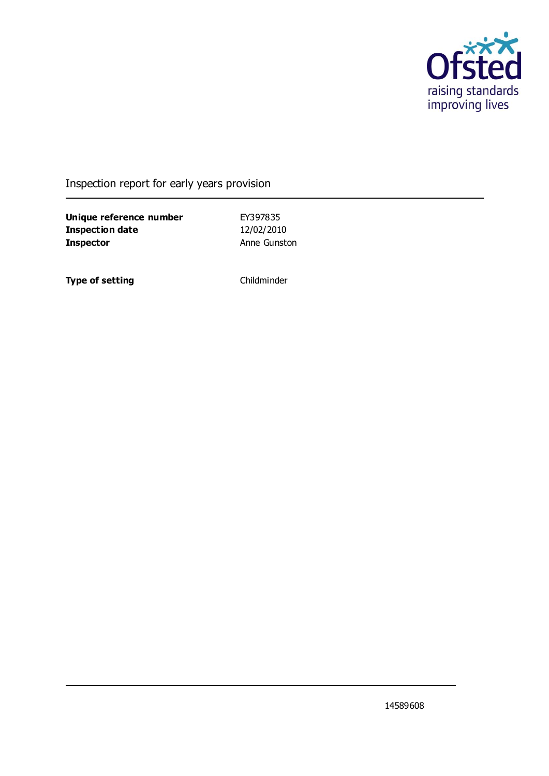

#### Inspection report for early years provision

**Unique reference number** EY397835 **Inspection date** 12/02/2010 **Inspector Anne Gunston** 

**Type of setting** Childminder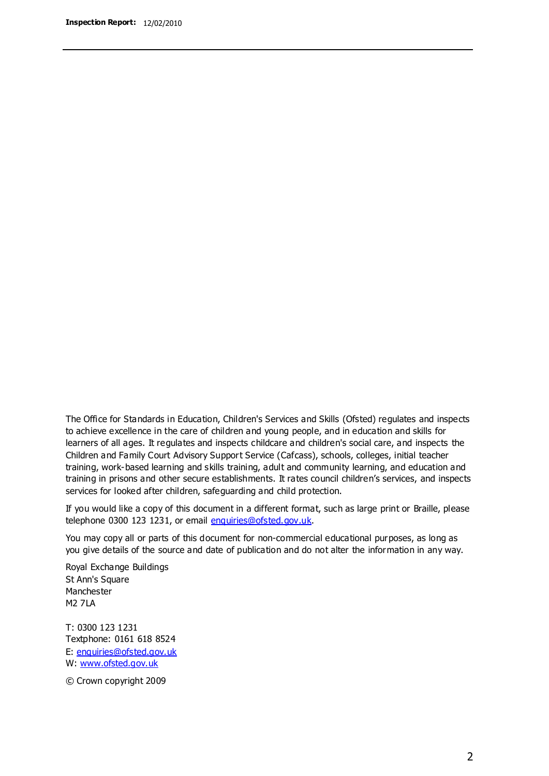The Office for Standards in Education, Children's Services and Skills (Ofsted) regulates and inspects to achieve excellence in the care of children and young people, and in education and skills for learners of all ages. It regulates and inspects childcare and children's social care, and inspects the Children and Family Court Advisory Support Service (Cafcass), schools, colleges, initial teacher training, work-based learning and skills training, adult and community learning, and education and training in prisons and other secure establishments. It rates council children's services, and inspects services for looked after children, safeguarding and child protection.

If you would like a copy of this document in a different format, such as large print or Braille, please telephone 0300 123 1231, or email enquiries@ofsted.gov.uk.

You may copy all or parts of this document for non-commercial educational purposes, as long as you give details of the source and date of publication and do not alter the information in any way.

Royal Exchange Buildings St Ann's Square Manchester M2 7LA

T: 0300 123 1231 Textphone: 0161 618 8524 E: enquiries@ofsted.gov.uk W: [www.ofsted.gov.uk](http://www.ofsted.gov.uk/)

© Crown copyright 2009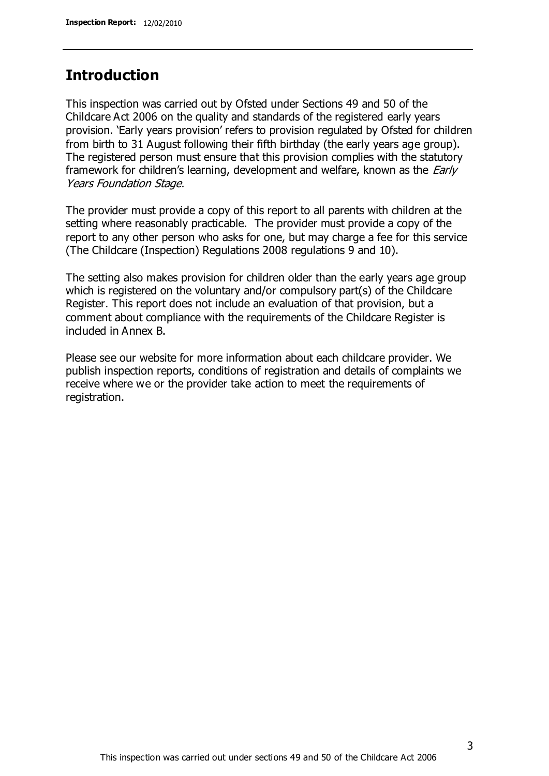#### **Introduction**

This inspection was carried out by Ofsted under Sections 49 and 50 of the Childcare Act 2006 on the quality and standards of the registered early years provision. 'Early years provision' refers to provision regulated by Ofsted for children from birth to 31 August following their fifth birthday (the early years age group). The registered person must ensure that this provision complies with the statutory framework for children's learning, development and welfare, known as the *Early* Years Foundation Stage.

The provider must provide a copy of this report to all parents with children at the setting where reasonably practicable. The provider must provide a copy of the report to any other person who asks for one, but may charge a fee for this service (The Childcare (Inspection) Regulations 2008 regulations 9 and 10).

The setting also makes provision for children older than the early years age group which is registered on the voluntary and/or compulsory part(s) of the Childcare Register. This report does not include an evaluation of that provision, but a comment about compliance with the requirements of the Childcare Register is included in Annex B.

Please see our website for more information about each childcare provider. We publish inspection reports, conditions of registration and details of complaints we receive where we or the provider take action to meet the requirements of registration.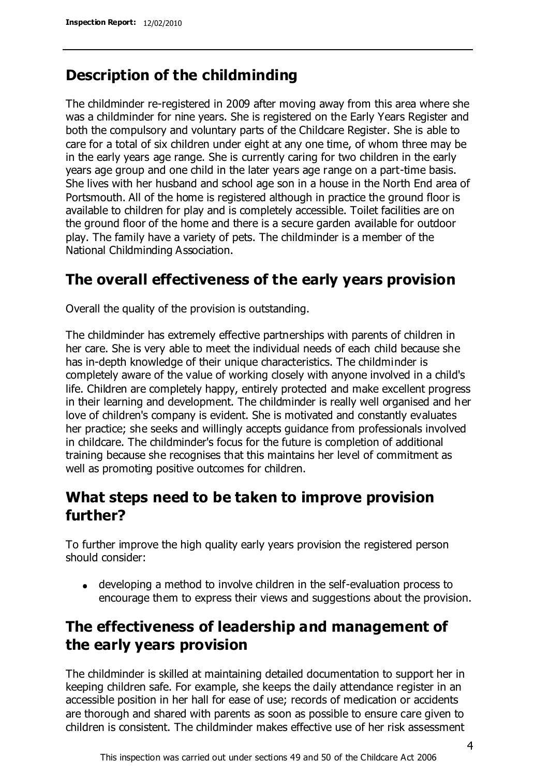### **Description of the childminding**

The childminder re-registered in 2009 after moving away from this area where she was a childminder for nine years. She is registered on the Early Years Register and both the compulsory and voluntary parts of the Childcare Register. She is able to care for a total of six children under eight at any one time, of whom three may be in the early years age range. She is currently caring for two children in the early years age group and one child in the later years age range on a part-time basis. She lives with her husband and school age son in a house in the North End area of Portsmouth. All of the home is registered although in practice the ground floor is available to children for play and is completely accessible. Toilet facilities are on the ground floor of the home and there is a secure garden available for outdoor play. The family have a variety of pets. The childminder is a member of the National Childminding Association.

### **The overall effectiveness of the early years provision**

Overall the quality of the provision is outstanding.

The childminder has extremely effective partnerships with parents of children in her care. She is very able to meet the individual needs of each child because she has in-depth knowledge of their unique characteristics. The childminder is completely aware of the value of working closely with anyone involved in a child's life. Children are completely happy, entirely protected and make excellent progress in their learning and development. The childminder is really well organised and her love of children's company is evident. She is motivated and constantly evaluates her practice; she seeks and willingly accepts guidance from professionals involved in childcare. The childminder's focus for the future is completion of additional training because she recognises that this maintains her level of commitment as well as promoting positive outcomes for children.

### **What steps need to be taken to improve provision further?**

To further improve the high quality early years provision the registered person should consider:

developing a method to involve children in the self-evaluation process to encourage them to express their views and suggestions about the provision.

## **The effectiveness of leadership and management of the early years provision**

The childminder is skilled at maintaining detailed documentation to support her in keeping children safe. For example, she keeps the daily attendance register in an accessible position in her hall for ease of use; records of medication or accidents are thorough and shared with parents as soon as possible to ensure care given to children is consistent. The childminder makes effective use of her risk assessment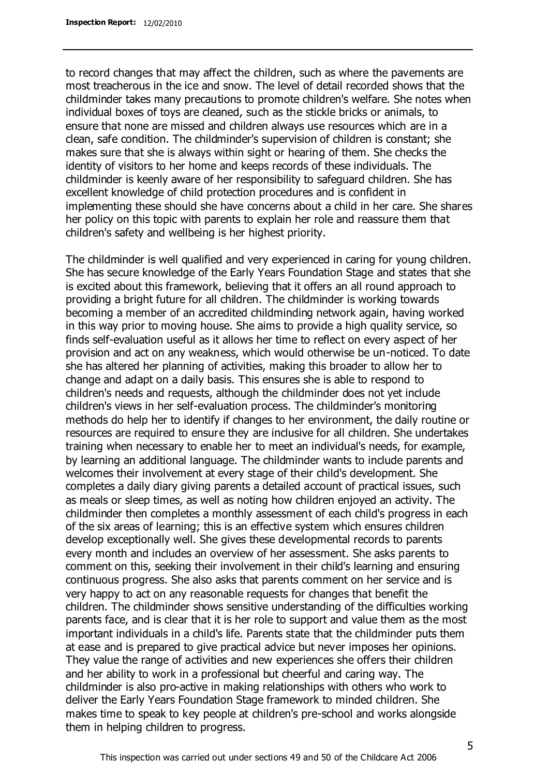to record changes that may affect the children, such as where the pavements are most treacherous in the ice and snow. The level of detail recorded shows that the childminder takes many precautions to promote children's welfare. She notes when individual boxes of toys are cleaned, such as the stickle bricks or animals, to ensure that none are missed and children always use resources which are in a clean, safe condition. The childminder's supervision of children is constant; she makes sure that she is always within sight or hearing of them. She checks the identity of visitors to her home and keeps records of these individuals. The childminder is keenly aware of her responsibility to safeguard children. She has excellent knowledge of child protection procedures and is confident in implementing these should she have concerns about a child in her care. She shares her policy on this topic with parents to explain her role and reassure them that children's safety and wellbeing is her highest priority.

The childminder is well qualified and very experienced in caring for young children. She has secure knowledge of the Early Years Foundation Stage and states that she is excited about this framework, believing that it offers an all round approach to providing a bright future for all children. The childminder is working towards becoming a member of an accredited childminding network again, having worked in this way prior to moving house. She aims to provide a high quality service, so finds self-evaluation useful as it allows her time to reflect on every aspect of her provision and act on any weakness, which would otherwise be un-noticed. To date she has altered her planning of activities, making this broader to allow her to change and adapt on a daily basis. This ensures she is able to respond to children's needs and requests, although the childminder does not yet include children's views in her self-evaluation process. The childminder's monitoring methods do help her to identify if changes to her environment, the daily routine or resources are required to ensure they are inclusive for all children. She undertakes training when necessary to enable her to meet an individual's needs, for example, by learning an additional language. The childminder wants to include parents and welcomes their involvement at every stage of their child's development. She completes a daily diary giving parents a detailed account of practical issues, such as meals or sleep times, as well as noting how children enjoyed an activity. The childminder then completes a monthly assessment of each child's progress in each of the six areas of learning; this is an effective system which ensures children develop exceptionally well. She gives these developmental records to parents every month and includes an overview of her assessment. She asks parents to comment on this, seeking their involvement in their child's learning and ensuring continuous progress. She also asks that parents comment on her service and is very happy to act on any reasonable requests for changes that benefit the children. The childminder shows sensitive understanding of the difficulties working parents face, and is clear that it is her role to support and value them as the most important individuals in a child's life. Parents state that the childminder puts them at ease and is prepared to give practical advice but never imposes her opinions. They value the range of activities and new experiences she offers their children and her ability to work in a professional but cheerful and caring way. The childminder is also pro-active in making relationships with others who work to deliver the Early Years Foundation Stage framework to minded children. She makes time to speak to key people at children's pre-school and works alongside them in helping children to progress.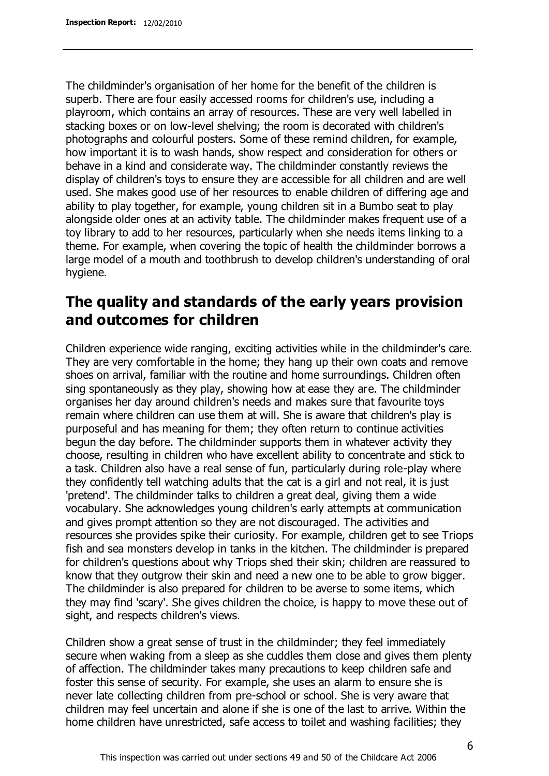The childminder's organisation of her home for the benefit of the children is superb. There are four easily accessed rooms for children's use, including a playroom, which contains an array of resources. These are very well labelled in stacking boxes or on low-level shelving; the room is decorated with children's photographs and colourful posters. Some of these remind children, for example, how important it is to wash hands, show respect and consideration for others or behave in a kind and considerate way. The childminder constantly reviews the display of children's toys to ensure they are accessible for all children and are well used. She makes good use of her resources to enable children of differing age and ability to play together, for example, young children sit in a Bumbo seat to play alongside older ones at an activity table. The childminder makes frequent use of a toy library to add to her resources, particularly when she needs items linking to a theme. For example, when covering the topic of health the childminder borrows a large model of a mouth and toothbrush to develop children's understanding of oral hygiene.

### **The quality and standards of the early years provision and outcomes for children**

Children experience wide ranging, exciting activities while in the childminder's care. They are very comfortable in the home; they hang up their own coats and remove shoes on arrival, familiar with the routine and home surroundings. Children often sing spontaneously as they play, showing how at ease they are. The childminder organises her day around children's needs and makes sure that favourite toys remain where children can use them at will. She is aware that children's play is purposeful and has meaning for them; they often return to continue activities begun the day before. The childminder supports them in whatever activity they choose, resulting in children who have excellent ability to concentrate and stick to a task. Children also have a real sense of fun, particularly during role-play where they confidently tell watching adults that the cat is a girl and not real, it is just 'pretend'. The childminder talks to children a great deal, giving them a wide vocabulary. She acknowledges young children's early attempts at communication and gives prompt attention so they are not discouraged. The activities and resources she provides spike their curiosity. For example, children get to see Triops fish and sea monsters develop in tanks in the kitchen. The childminder is prepared for children's questions about why Triops shed their skin; children are reassured to know that they outgrow their skin and need a new one to be able to grow bigger. The childminder is also prepared for children to be averse to some items, which they may find 'scary'. She gives children the choice, is happy to move these out of sight, and respects children's views.

Children show a great sense of trust in the childminder; they feel immediately secure when waking from a sleep as she cuddles them close and gives them plenty of affection. The childminder takes many precautions to keep children safe and foster this sense of security. For example, she uses an alarm to ensure she is never late collecting children from pre-school or school. She is very aware that children may feel uncertain and alone if she is one of the last to arrive. Within the home children have unrestricted, safe access to toilet and washing facilities; they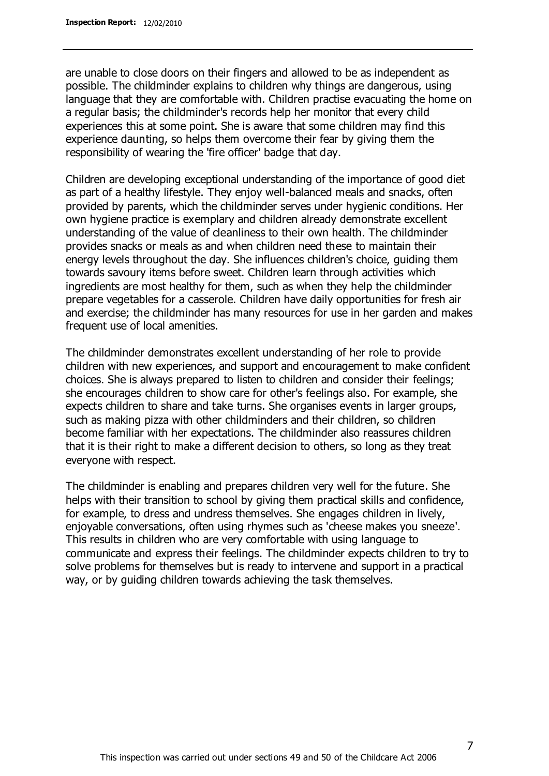are unable to close doors on their fingers and allowed to be as independent as possible. The childminder explains to children why things are dangerous, using language that they are comfortable with. Children practise evacuating the home on a regular basis; the childminder's records help her monitor that every child experiences this at some point. She is aware that some children may find this experience daunting, so helps them overcome their fear by giving them the responsibility of wearing the 'fire officer' badge that day.

Children are developing exceptional understanding of the importance of good diet as part of a healthy lifestyle. They enjoy well-balanced meals and snacks, often provided by parents, which the childminder serves under hygienic conditions. Her own hygiene practice is exemplary and children already demonstrate excellent understanding of the value of cleanliness to their own health. The childminder provides snacks or meals as and when children need these to maintain their energy levels throughout the day. She influences children's choice, guiding them towards savoury items before sweet. Children learn through activities which ingredients are most healthy for them, such as when they help the childminder prepare vegetables for a casserole. Children have daily opportunities for fresh air and exercise; the childminder has many resources for use in her garden and makes frequent use of local amenities.

The childminder demonstrates excellent understanding of her role to provide children with new experiences, and support and encouragement to make confident choices. She is always prepared to listen to children and consider their feelings; she encourages children to show care for other's feelings also. For example, she expects children to share and take turns. She organises events in larger groups, such as making pizza with other childminders and their children, so children become familiar with her expectations. The childminder also reassures children that it is their right to make a different decision to others, so long as they treat everyone with respect.

The childminder is enabling and prepares children very well for the future. She helps with their transition to school by giving them practical skills and confidence, for example, to dress and undress themselves. She engages children in lively, enjoyable conversations, often using rhymes such as 'cheese makes you sneeze'. This results in children who are very comfortable with using language to communicate and express their feelings. The childminder expects children to try to solve problems for themselves but is ready to intervene and support in a practical way, or by guiding children towards achieving the task themselves.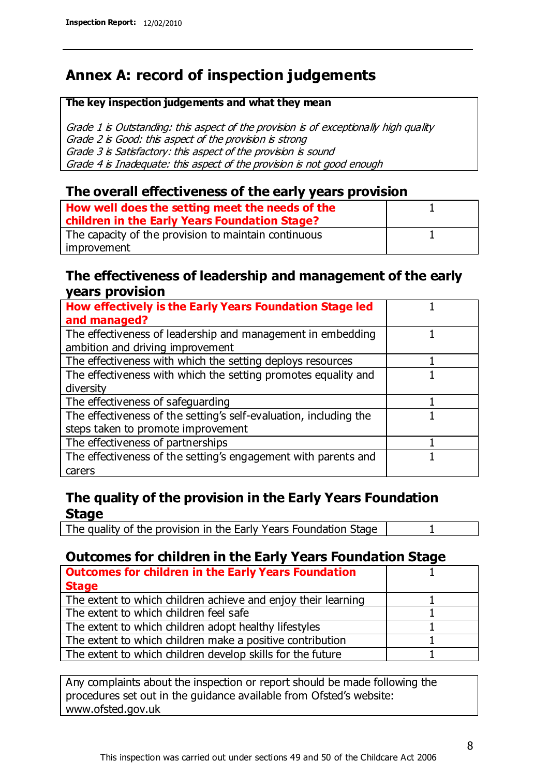## **Annex A: record of inspection judgements**

#### **The key inspection judgements and what they mean**

Grade 1 is Outstanding: this aspect of the provision is of exceptionally high quality Grade 2 is Good: this aspect of the provision is strong Grade 3 is Satisfactory: this aspect of the provision is sound Grade 4 is Inadequate: this aspect of the provision is not good enough

#### **The overall effectiveness of the early years provision**

| How well does the setting meet the needs of the<br>children in the Early Years Foundation Stage? |  |
|--------------------------------------------------------------------------------------------------|--|
| The capacity of the provision to maintain continuous                                             |  |
| improvement                                                                                      |  |

#### **The effectiveness of leadership and management of the early years provision**

| How effectively is the Early Years Foundation Stage led                                         |  |
|-------------------------------------------------------------------------------------------------|--|
| and managed?                                                                                    |  |
| The effectiveness of leadership and management in embedding<br>ambition and driving improvement |  |
| The effectiveness with which the setting deploys resources                                      |  |
| The effectiveness with which the setting promotes equality and                                  |  |
| diversity                                                                                       |  |
| The effectiveness of safeguarding                                                               |  |
| The effectiveness of the setting's self-evaluation, including the                               |  |
| steps taken to promote improvement                                                              |  |
| The effectiveness of partnerships                                                               |  |
| The effectiveness of the setting's engagement with parents and                                  |  |
| carers                                                                                          |  |

#### **The quality of the provision in the Early Years Foundation Stage**

The quality of the provision in the Early Years Foundation Stage | 1

#### **Outcomes for children in the Early Years Foundation Stage**

| <b>Outcomes for children in the Early Years Foundation</b>    |  |
|---------------------------------------------------------------|--|
| <b>Stage</b>                                                  |  |
| The extent to which children achieve and enjoy their learning |  |
| The extent to which children feel safe                        |  |
| The extent to which children adopt healthy lifestyles         |  |
| The extent to which children make a positive contribution     |  |
| The extent to which children develop skills for the future    |  |

Any complaints about the inspection or report should be made following the procedures set out in the guidance available from Ofsted's website: www.ofsted.gov.uk